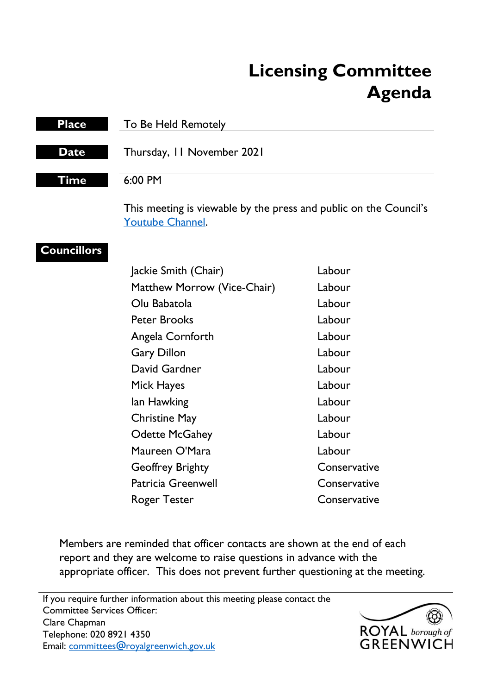# **Licensing Committee Agenda**

| <b>Place</b>       | To Be Held Remotely                                                                          |              |
|--------------------|----------------------------------------------------------------------------------------------|--------------|
| <b>Date</b>        | Thursday, 11 November 2021                                                                   |              |
| Time               | 6:00 PM                                                                                      |              |
|                    | This meeting is viewable by the press and public on the Council's<br><b>Youtube Channel.</b> |              |
| <b>Councillors</b> |                                                                                              |              |
|                    | Jackie Smith (Chair)                                                                         | Labour       |
|                    | Matthew Morrow (Vice-Chair)                                                                  | Labour       |
|                    | Olu Babatola                                                                                 | Labour       |
|                    | <b>Peter Brooks</b>                                                                          | Labour       |
|                    | Angela Cornforth                                                                             | Labour       |
|                    | <b>Gary Dillon</b>                                                                           | Labour       |
|                    | David Gardner                                                                                | Labour       |
|                    | Mick Hayes                                                                                   | Labour       |
|                    | lan Hawking                                                                                  | Labour       |
|                    | <b>Christine May</b>                                                                         | Labour       |
|                    | <b>Odette McGahey</b>                                                                        | Labour       |
|                    | Maureen O'Mara                                                                               | Labour       |
|                    | <b>Geoffrey Brighty</b>                                                                      | Conservative |
|                    | <b>Patricia Greenwell</b>                                                                    | Conservative |
|                    | <b>Roger Tester</b>                                                                          | Conservative |

Members are reminded that officer contacts are shown at the end of each report and they are welcome to raise questions in advance with the appropriate officer. This does not prevent further questioning at the meeting.

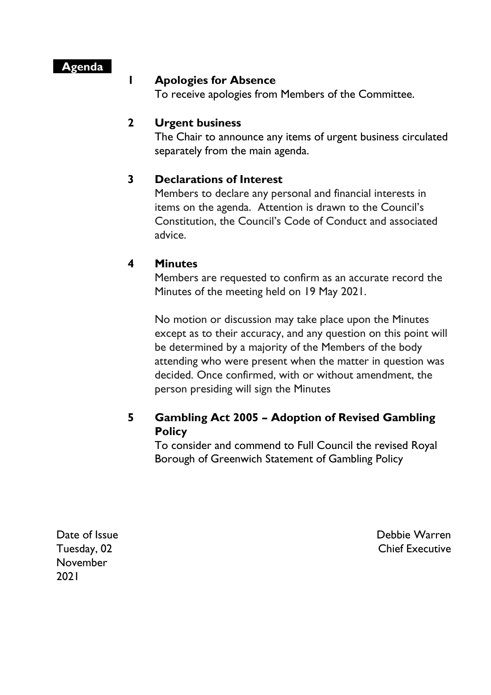## **Agenda**

#### **1 Apologies for Absence**

To receive apologies from Members of the Committee.

## **2 Urgent business**

The Chair to announce any items of urgent business circulated separately from the main agenda.

## **3 Declarations of Interest**

Members to declare any personal and financial interests in items on the agenda. Attention is drawn to the Council's Constitution, the Council's Code of Conduct and associated advice.

## **4 Minutes**

Members are requested to confirm as an accurate record the Minutes of the meeting held on 19 May 2021.

No motion or discussion may take place upon the Minutes except as to their accuracy, and any question on this point will be determined by a majority of the Members of the body attending who were present when the matter in question was decided. Once confirmed, with or without amendment, the person presiding will sign the Minutes

## **5 Gambling Act 2005 – Adoption of Revised Gambling Policy**

To consider and commend to Full Council the revised Royal Borough of Greenwich Statement of Gambling Policy

Date of Issue Tuesday, 02 November 2021

Debbie Warren Chief Executive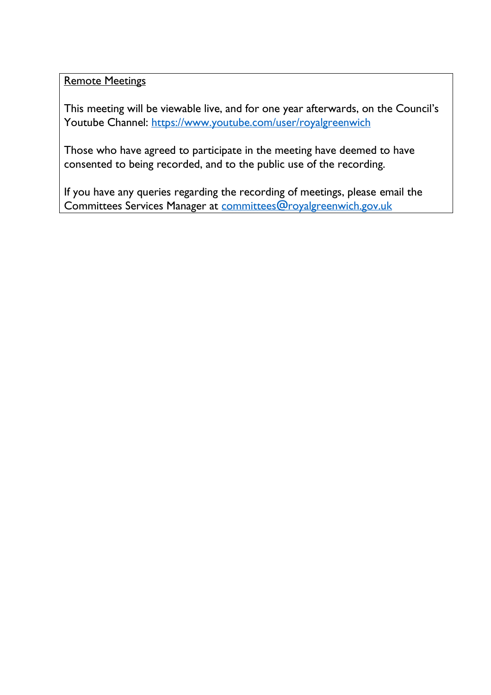Remote Meetings

This meeting will be viewable live, and for one year afterwards, on the Council's Youtube Channel:<https://www.youtube.com/user/royalgreenwich>

Those who have agreed to participate in the meeting have deemed to have consented to being recorded, and to the public use of the recording.

If you have any queries regarding the recording of meetings, please email the Committees Services Manager at [committees@royalgreenwich.gov.uk](mailto:committees@royalgreenwich.gov.uk)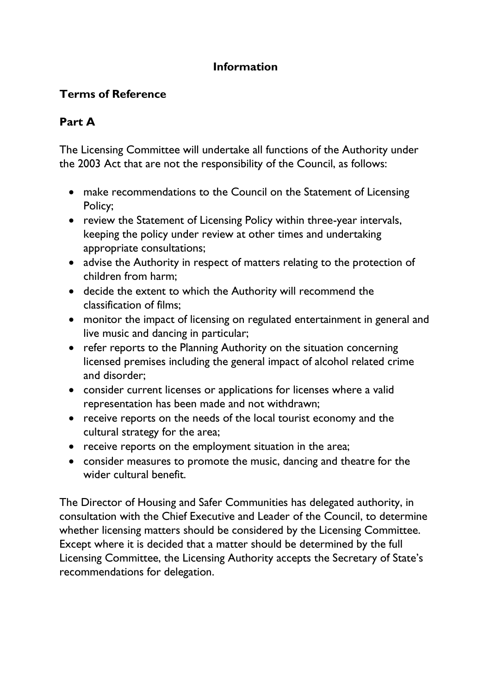# **Information**

# **Terms of Reference**

# **Part A**

The Licensing Committee will undertake all functions of the Authority under the 2003 Act that are not the responsibility of the Council, as follows:

- make recommendations to the Council on the Statement of Licensing Policy;
- review the Statement of Licensing Policy within three-year intervals, keeping the policy under review at other times and undertaking appropriate consultations;
- advise the Authority in respect of matters relating to the protection of children from harm;
- decide the extent to which the Authority will recommend the classification of films;
- monitor the impact of licensing on regulated entertainment in general and live music and dancing in particular;
- refer reports to the Planning Authority on the situation concerning licensed premises including the general impact of alcohol related crime and disorder;
- consider current licenses or applications for licenses where a valid representation has been made and not withdrawn;
- receive reports on the needs of the local tourist economy and the cultural strategy for the area;
- receive reports on the employment situation in the area;
- consider measures to promote the music, dancing and theatre for the wider cultural benefit.

The Director of Housing and Safer Communities has delegated authority, in consultation with the Chief Executive and Leader of the Council, to determine whether licensing matters should be considered by the Licensing Committee. Except where it is decided that a matter should be determined by the full Licensing Committee, the Licensing Authority accepts the Secretary of State's recommendations for delegation.